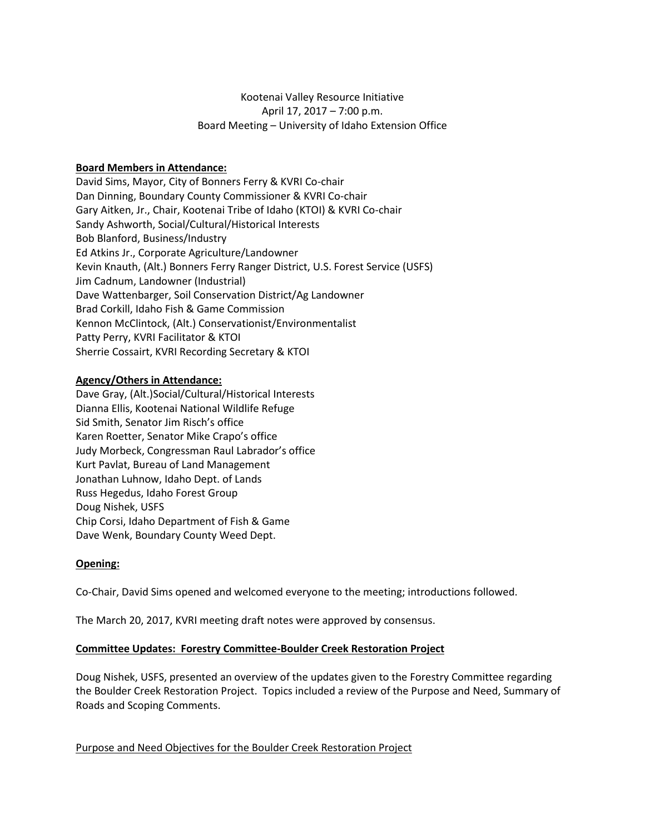# Kootenai Valley Resource Initiative April 17, 2017 – 7:00 p.m. Board Meeting – University of Idaho Extension Office

# **Board Members in Attendance:**

David Sims, Mayor, City of Bonners Ferry & KVRI Co-chair Dan Dinning, Boundary County Commissioner & KVRI Co-chair Gary Aitken, Jr., Chair, Kootenai Tribe of Idaho (KTOI) & KVRI Co-chair Sandy Ashworth, Social/Cultural/Historical Interests Bob Blanford, Business/Industry Ed Atkins Jr., Corporate Agriculture/Landowner Kevin Knauth, (Alt.) Bonners Ferry Ranger District, U.S. Forest Service (USFS) Jim Cadnum, Landowner (Industrial) Dave Wattenbarger, Soil Conservation District/Ag Landowner Brad Corkill, Idaho Fish & Game Commission Kennon McClintock, (Alt.) Conservationist/Environmentalist Patty Perry, KVRI Facilitator & KTOI Sherrie Cossairt, KVRI Recording Secretary & KTOI

# **Agency/Others in Attendance:**

Dave Gray, (Alt.)Social/Cultural/Historical Interests Dianna Ellis, Kootenai National Wildlife Refuge Sid Smith, Senator Jim Risch's office Karen Roetter, Senator Mike Crapo's office Judy Morbeck, Congressman Raul Labrador's office Kurt Pavlat, Bureau of Land Management Jonathan Luhnow, Idaho Dept. of Lands Russ Hegedus, Idaho Forest Group Doug Nishek, USFS Chip Corsi, Idaho Department of Fish & Game Dave Wenk, Boundary County Weed Dept.

# **Opening:**

Co-Chair, David Sims opened and welcomed everyone to the meeting; introductions followed.

The March 20, 2017, KVRI meeting draft notes were approved by consensus.

# **Committee Updates: Forestry Committee-Boulder Creek Restoration Project**

Doug Nishek, USFS, presented an overview of the updates given to the Forestry Committee regarding the Boulder Creek Restoration Project. Topics included a review of the Purpose and Need, Summary of Roads and Scoping Comments.

Purpose and Need Objectives for the Boulder Creek Restoration Project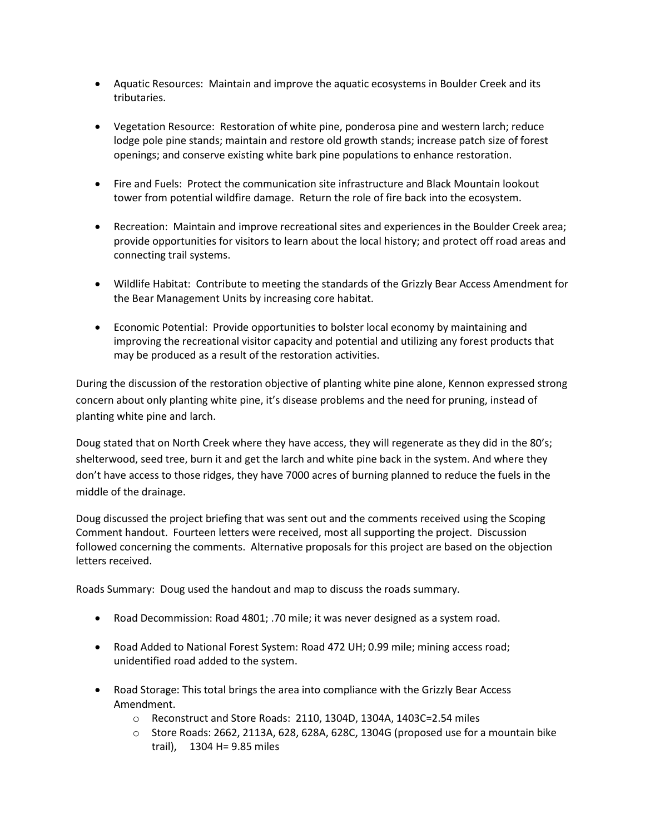- Aquatic Resources: Maintain and improve the aquatic ecosystems in Boulder Creek and its tributaries.
- Vegetation Resource: Restoration of white pine, ponderosa pine and western larch; reduce lodge pole pine stands; maintain and restore old growth stands; increase patch size of forest openings; and conserve existing white bark pine populations to enhance restoration.
- Fire and Fuels: Protect the communication site infrastructure and Black Mountain lookout tower from potential wildfire damage. Return the role of fire back into the ecosystem.
- Recreation: Maintain and improve recreational sites and experiences in the Boulder Creek area; provide opportunities for visitors to learn about the local history; and protect off road areas and connecting trail systems.
- Wildlife Habitat: Contribute to meeting the standards of the Grizzly Bear Access Amendment for the Bear Management Units by increasing core habitat.
- Economic Potential: Provide opportunities to bolster local economy by maintaining and improving the recreational visitor capacity and potential and utilizing any forest products that may be produced as a result of the restoration activities.

During the discussion of the restoration objective of planting white pine alone, Kennon expressed strong concern about only planting white pine, it's disease problems and the need for pruning, instead of planting white pine and larch.

Doug stated that on North Creek where they have access, they will regenerate as they did in the 80's; shelterwood, seed tree, burn it and get the larch and white pine back in the system. And where they don't have access to those ridges, they have 7000 acres of burning planned to reduce the fuels in the middle of the drainage.

Doug discussed the project briefing that was sent out and the comments received using the Scoping Comment handout. Fourteen letters were received, most all supporting the project. Discussion followed concerning the comments. Alternative proposals for this project are based on the objection letters received.

Roads Summary: Doug used the handout and map to discuss the roads summary.

- Road Decommission: Road 4801; .70 mile; it was never designed as a system road.
- Road Added to National Forest System: Road 472 UH; 0.99 mile; mining access road; unidentified road added to the system.
- Road Storage: This total brings the area into compliance with the Grizzly Bear Access Amendment.
	- o Reconstruct and Store Roads: 2110, 1304D, 1304A, 1403C=2.54 miles
	- $\circ$  Store Roads: 2662, 2113A, 628, 628A, 628C, 1304G (proposed use for a mountain bike trail), 1304 H= 9.85 miles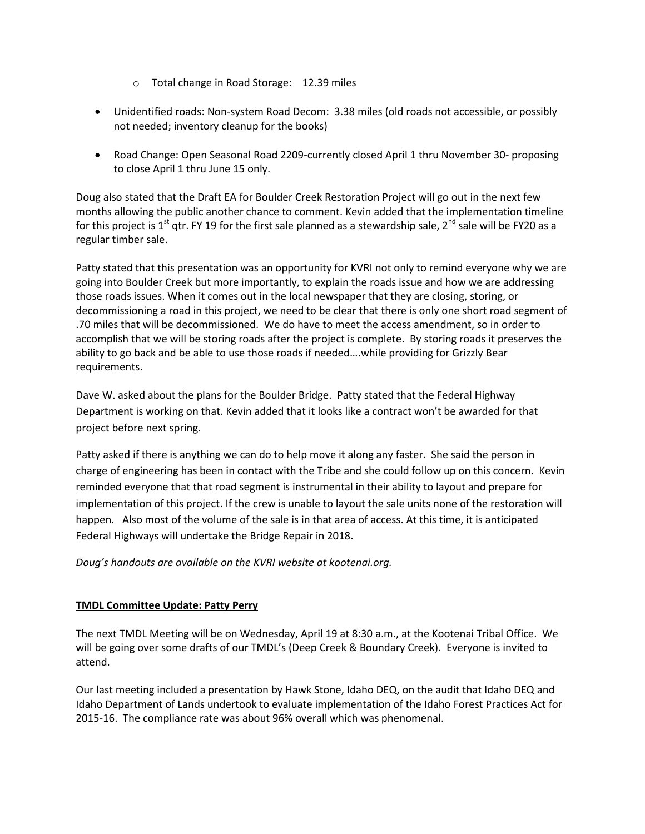- o Total change in Road Storage: 12.39 miles
- Unidentified roads: Non-system Road Decom: 3.38 miles (old roads not accessible, or possibly not needed; inventory cleanup for the books)
- Road Change: Open Seasonal Road 2209-currently closed April 1 thru November 30- proposing to close April 1 thru June 15 only.

Doug also stated that the Draft EA for Boulder Creek Restoration Project will go out in the next few months allowing the public another chance to comment. Kevin added that the implementation timeline for this project is 1<sup>st</sup> qtr. FY 19 for the first sale planned as a stewardship sale, 2<sup>nd</sup> sale will be FY20 as a regular timber sale.

Patty stated that this presentation was an opportunity for KVRI not only to remind everyone why we are going into Boulder Creek but more importantly, to explain the roads issue and how we are addressing those roads issues. When it comes out in the local newspaper that they are closing, storing, or decommissioning a road in this project, we need to be clear that there is only one short road segment of .70 miles that will be decommissioned. We do have to meet the access amendment, so in order to accomplish that we will be storing roads after the project is complete. By storing roads it preserves the ability to go back and be able to use those roads if needed….while providing for Grizzly Bear requirements.

Dave W. asked about the plans for the Boulder Bridge. Patty stated that the Federal Highway Department is working on that. Kevin added that it looks like a contract won't be awarded for that project before next spring.

Patty asked if there is anything we can do to help move it along any faster. She said the person in charge of engineering has been in contact with the Tribe and she could follow up on this concern. Kevin reminded everyone that that road segment is instrumental in their ability to layout and prepare for implementation of this project. If the crew is unable to layout the sale units none of the restoration will happen. Also most of the volume of the sale is in that area of access. At this time, it is anticipated Federal Highways will undertake the Bridge Repair in 2018.

*Doug's handouts are available on the KVRI website at kootenai.org.*

# **TMDL Committee Update: Patty Perry**

The next TMDL Meeting will be on Wednesday, April 19 at 8:30 a.m., at the Kootenai Tribal Office. We will be going over some drafts of our TMDL's (Deep Creek & Boundary Creek). Everyone is invited to attend.

Our last meeting included a presentation by Hawk Stone, Idaho DEQ, on the audit that Idaho DEQ and Idaho Department of Lands undertook to evaluate implementation of the Idaho Forest Practices Act for 2015-16. The compliance rate was about 96% overall which was phenomenal.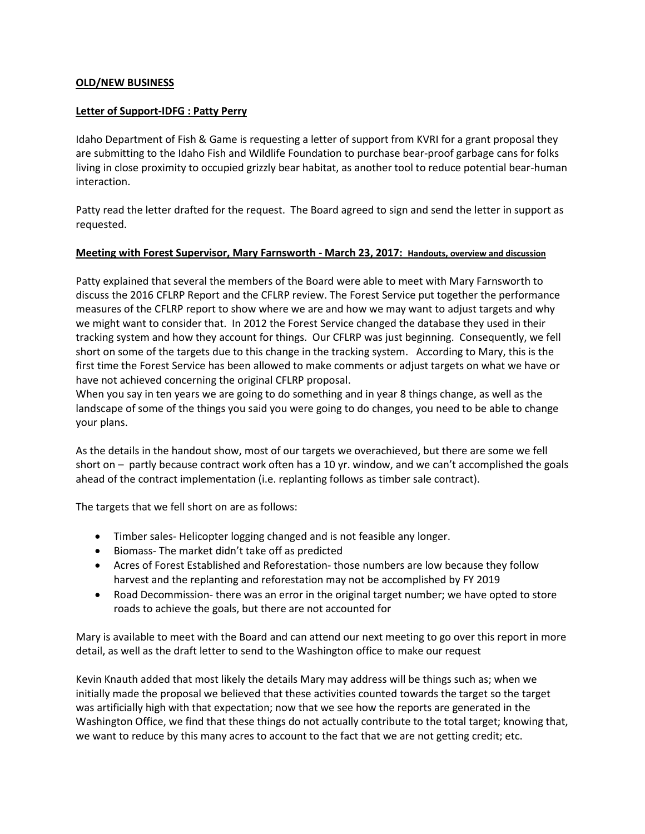### **OLD/NEW BUSINESS**

#### **Letter of Support-IDFG : Patty Perry**

Idaho Department of Fish & Game is requesting a letter of support from KVRI for a grant proposal they are submitting to the Idaho Fish and Wildlife Foundation to purchase bear-proof garbage cans for folks living in close proximity to occupied grizzly bear habitat, as another tool to reduce potential bear-human interaction.

Patty read the letter drafted for the request. The Board agreed to sign and send the letter in support as requested.

#### **Meeting with Forest Supervisor, Mary Farnsworth - March 23, 2017: Handouts, overview and discussion**

Patty explained that several the members of the Board were able to meet with Mary Farnsworth to discuss the 2016 CFLRP Report and the CFLRP review. The Forest Service put together the performance measures of the CFLRP report to show where we are and how we may want to adjust targets and why we might want to consider that. In 2012 the Forest Service changed the database they used in their tracking system and how they account for things. Our CFLRP was just beginning. Consequently, we fell short on some of the targets due to this change in the tracking system. According to Mary, this is the first time the Forest Service has been allowed to make comments or adjust targets on what we have or have not achieved concerning the original CFLRP proposal.

When you say in ten years we are going to do something and in year 8 things change, as well as the landscape of some of the things you said you were going to do changes, you need to be able to change your plans.

As the details in the handout show, most of our targets we overachieved, but there are some we fell short on – partly because contract work often has a 10 yr. window, and we can't accomplished the goals ahead of the contract implementation (i.e. replanting follows as timber sale contract).

The targets that we fell short on are as follows:

- Timber sales- Helicopter logging changed and is not feasible any longer.
- Biomass- The market didn't take off as predicted
- Acres of Forest Established and Reforestation- those numbers are low because they follow harvest and the replanting and reforestation may not be accomplished by FY 2019
- Road Decommission-there was an error in the original target number; we have opted to store roads to achieve the goals, but there are not accounted for

Mary is available to meet with the Board and can attend our next meeting to go over this report in more detail, as well as the draft letter to send to the Washington office to make our request

Kevin Knauth added that most likely the details Mary may address will be things such as; when we initially made the proposal we believed that these activities counted towards the target so the target was artificially high with that expectation; now that we see how the reports are generated in the Washington Office, we find that these things do not actually contribute to the total target; knowing that, we want to reduce by this many acres to account to the fact that we are not getting credit; etc.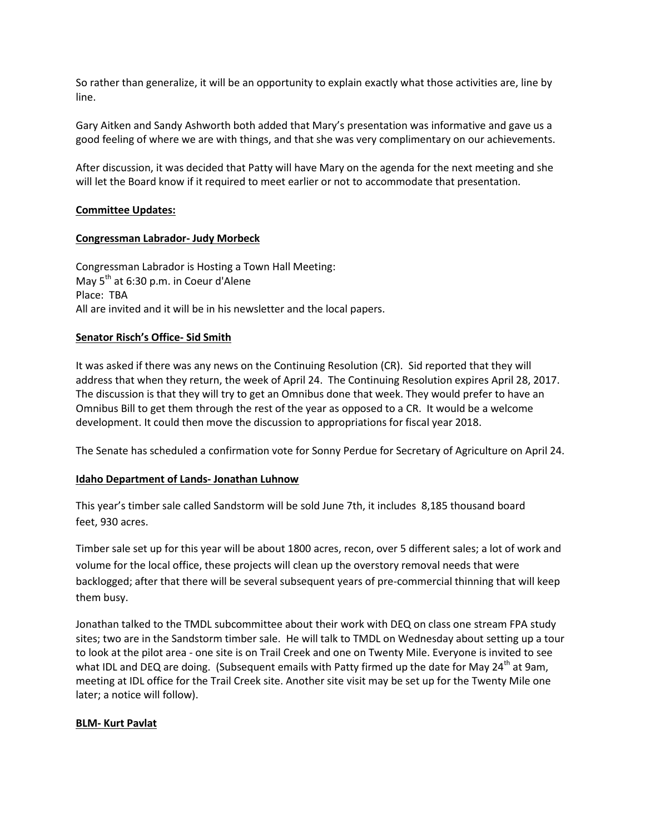So rather than generalize, it will be an opportunity to explain exactly what those activities are, line by line.

Gary Aitken and Sandy Ashworth both added that Mary's presentation was informative and gave us a good feeling of where we are with things, and that she was very complimentary on our achievements.

After discussion, it was decided that Patty will have Mary on the agenda for the next meeting and she will let the Board know if it required to meet earlier or not to accommodate that presentation.

### **Committee Updates:**

### **Congressman Labrador- Judy Morbeck**

Congressman Labrador is Hosting a Town Hall Meeting: May  $5<sup>th</sup>$  at 6:30 p.m. in Coeur d'Alene Place: TBA All are invited and it will be in his newsletter and the local papers.

### **Senator Risch's Office- Sid Smith**

It was asked if there was any news on the Continuing Resolution (CR). Sid reported that they will address that when they return, the week of April 24. The Continuing Resolution expires April 28, 2017. The discussion is that they will try to get an Omnibus done that week. They would prefer to have an Omnibus Bill to get them through the rest of the year as opposed to a CR. It would be a welcome development. It could then move the discussion to appropriations for fiscal year 2018.

The Senate has scheduled a confirmation vote for Sonny Perdue for Secretary of Agriculture on April 24.

#### **Idaho Department of Lands- Jonathan Luhnow**

This year's timber sale called Sandstorm will be sold June 7th, it includes 8,185 thousand board feet, 930 acres.

Timber sale set up for this year will be about 1800 acres, recon, over 5 different sales; a lot of work and volume for the local office, these projects will clean up the overstory removal needs that were backlogged; after that there will be several subsequent years of pre-commercial thinning that will keep them busy.

Jonathan talked to the TMDL subcommittee about their work with DEQ on class one stream FPA study sites; two are in the Sandstorm timber sale. He will talk to TMDL on Wednesday about setting up a tour to look at the pilot area - one site is on Trail Creek and one on Twenty Mile. Everyone is invited to see what IDL and DEQ are doing. (Subsequent emails with Patty firmed up the date for May 24<sup>th</sup> at 9am, meeting at IDL office for the Trail Creek site. Another site visit may be set up for the Twenty Mile one later; a notice will follow).

# **BLM- Kurt Pavlat**